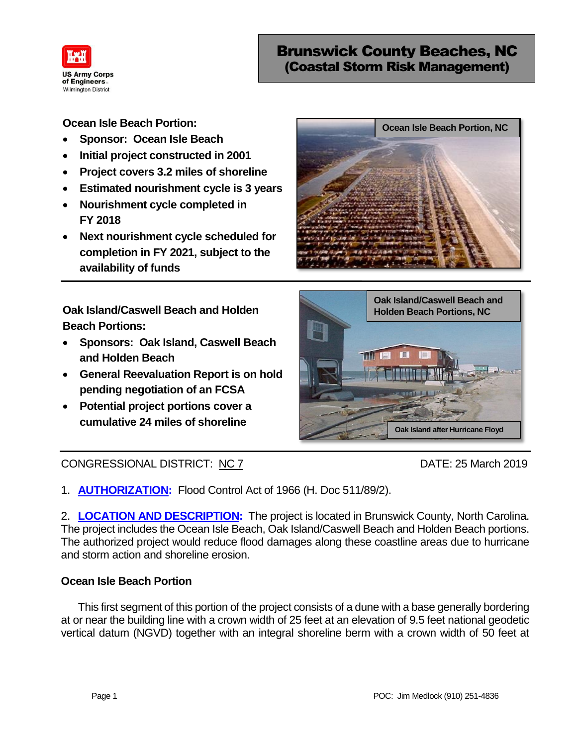

# Brunswick County Beaches, NC (Coastal Storm Risk Management)

- **Sponsor: Ocean Isle Beach**
- **Initial project constructed in 2001**
- **Project covers 3.2 miles of shoreline**
- **Estimated nourishment cycle is 3 years**
- **Nourishment cycle completed in FY 2018**
- **Next nourishment cycle scheduled for completion in FY 2021, subject to the availability of funds**

**Oak Island/Caswell Beach and Holden Beach Portions:**

- **Sponsors: Oak Island, Caswell Beach and Holden Beach**
- **General Reevaluation Report is on hold pending negotiation of an FCSA**
- **Potential project portions cover a cumulative 24 miles of shoreline**

## CONGRESSIONAL DISTRICT: NC 7 DATE: 25 March 2019

1. **AUTHORIZATION:** Flood Control Act of 1966 (H. Doc 511/89/2).

2. **LOCATION AND DESCRIPTION:** The project is located in Brunswick County, North Carolina. The project includes the Ocean Isle Beach, Oak Island/Caswell Beach and Holden Beach portions. The authorized project would reduce flood damages along these coastline areas due to hurricane and storm action and shoreline erosion.

#### **Ocean Isle Beach Portion Initial project constructed in 1998 Propels 1.4 miles Beach Portion Nourishment every 3 Years for 50 Years**

This first segment of this portion of the project consists of a dune with a base generally bordering at or near the building line with a crown width of 25 feet at an elevation of 9.5 feet national geodetic vertical datum (NGVD) together with an integral shoreline berm with a crown width of 50 feet at **z** first



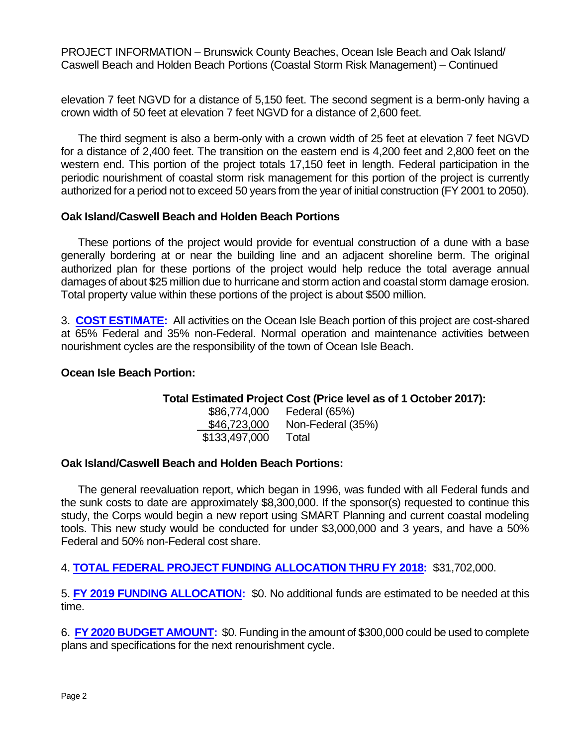PROJECT INFORMATION – Brunswick County Beaches, Ocean Isle Beach and Oak Island/ Caswell Beach and Holden Beach Portions (Coastal Storm Risk Management) – Continued

elevation 7 feet NGVD for a distance of 5,150 feet. The second segment is a berm-only having a crown width of 50 feet at elevation 7 feet NGVD for a distance of 2,600 feet.

The third segment is also a berm-only with a crown width of 25 feet at elevation 7 feet NGVD for a distance of 2,400 feet. The transition on the eastern end is 4,200 feet and 2,800 feet on the western end. This portion of the project totals 17,150 feet in length. Federal participation in the periodic nourishment of coastal storm risk management for this portion of the project is currently authorized for a period not to exceed 50 years from the year of initial construction (FY 2001 to 2050).

### **Oak Island/Caswell Beach and Holden Beach Portions**

These portions of the project would provide for eventual construction of a dune with a base generally bordering at or near the building line and an adjacent shoreline berm. The original authorized plan for these portions of the project would help reduce the total average annual damages of about \$25 million due to hurricane and storm action and coastal storm damage erosion. Total property value within these portions of the project is about \$500 million.

3. **COST ESTIMATE:** All activities on the Ocean Isle Beach portion of this project are cost-shared at 65% Federal and 35% non-Federal. Normal operation and maintenance activities between nourishment cycles are the responsibility of the town of Ocean Isle Beach.

#### **Ocean Isle Beach Portion:**

#### **Total Estimated Project Cost (Price level as of 1 October 2017):**

\$86,774,000 Federal (65%) \$46,723,000 Non-Federal (35%) \$133,497,000 Total

#### **Oak Island/Caswell Beach and Holden Beach Portions:**

The general reevaluation report, which began in 1996, was funded with all Federal funds and the sunk costs to date are approximately \$8,300,000. If the sponsor(s) requested to continue this study, the Corps would begin a new report using SMART Planning and current coastal modeling tools. This new study would be conducted for under \$3,000,000 and 3 years, and have a 50% Federal and 50% non-Federal cost share.

4. **TOTAL FEDERAL PROJECT FUNDING ALLOCATION THRU FY 2018:** \$31,702,000.

5. **FY 2019 FUNDING ALLOCATION:** \$0. No additional funds are estimated to be needed at this time.

6. **FY 2020 BUDGET AMOUNT:** \$0. Funding in the amount of \$300,000 could be used to complete plans and specifications for the next renourishment cycle.